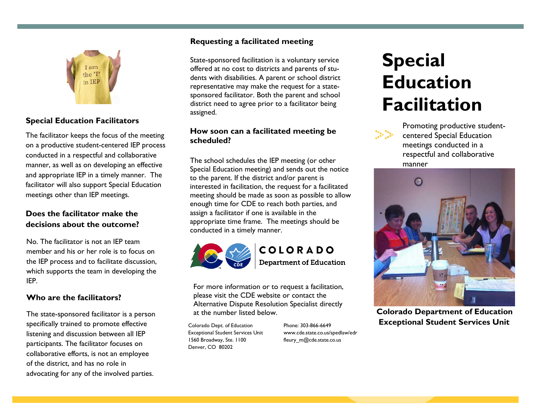

# **Special Education Facilitators**

The facilitator keeps the focus of the meeting on a productive student-centered IEP process conducted in a respectful and collaborative manner, as well as on developing an effective and appropriate IEP in a timely manner. The facilitator will also support Special Education meetings other than IEP meetings.

# **Does the facilitator make the decisions about the outcome?**

No. The facilitator is not an IEP team member and his or her role is to focus on the IEP process and to facilitate discussion, which supports the team in developing the IEP.

#### **Who are the facilitators?**

The state-sponsored facilitator is a person specifically trained to promote effective listening and discussion between all IEP participants. The facilitator focuses on collaborative efforts, is not an employee of the district, and has no role in advocating for any of the involved parties.

#### **Requesting a facilitated meeting**

State-sponsored facilitation is a voluntary service offered at no cost to districts and parents of students with disabilities. A parent or school district representative may make the request for a statesponsored facilitator. Both the parent and school district need to agree prior to a facilitator being assigned.

#### **How soon can a facilitated meeting be scheduled?**

The school schedules the IEP meeting (or other Special Education meeting) and sends out the notice to the parent. If the district and/or parent is interested in facilitation, the request for a facilitated meeting should be made as soon as possible to allow enough time for CDE to reach both parties, and assign a facilitator if one is available in the appropriate time frame. The meetings should be conducted in a timely manner.



COLORADO **Department of Education** 

For more information or to request a facilitation, please visit the CDE website or contact the Alternative Dispute Resolution Specialist directly at the number listed below.

Colorado Dept. of Education Exceptional Student Services Unit 1560 Broadway, Ste. 1100 Denver, CO 80202

Phone: 303-866-6649 [www.cde.state.co.us/spedlaw/edr](http://www.cde.state.co.us/spedlaw/edr) fleury\_m@cde.state.co.us

# **Special Education Facilitation**



Promoting productive studentcentered Special Education meetings conducted in a respectful and collaborative manner



**Colorado Department of Education Exceptional Student Services Unit**